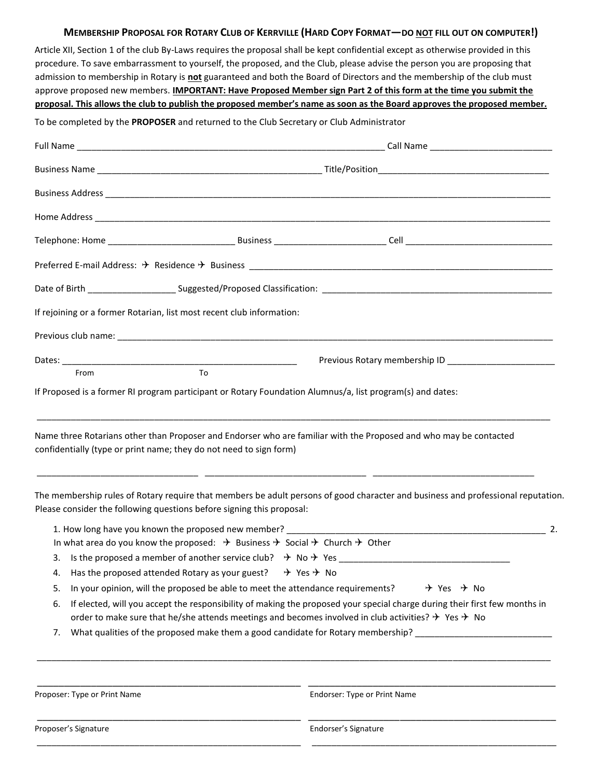## MEMBERSHIP PROPOSAL FOR ROTARY CLUB OF KERRVILLE (HARD COPY FORMAT-DO NOT FILL OUT ON COMPUTER!)

Article XII, Section 1 of the club By-Laws requires the proposal shall be kept confidential except as otherwise provided in this procedure. To save embarrassment to yourself, the proposed, and the Club, please advise the person you are proposing that admission to membership in Rotary is **not** guaranteed and both the Board of Directors and the membership of the club must approve proposed new members. **IMPORTANT: Have Proposed Member sign Part 2 of this form at the time you submit the proposal. This allows the club to publish the proposed member's name as soon as the Board approves the proposed member.**

To be completed by the **PROPOSER** and returned to the Club Secretary or Club Administrator

| If rejoining or a former Rotarian, list most recent club information:                                                                                                                                                                                           |                                                                                                                                                                                                                                                       |  |  |
|-----------------------------------------------------------------------------------------------------------------------------------------------------------------------------------------------------------------------------------------------------------------|-------------------------------------------------------------------------------------------------------------------------------------------------------------------------------------------------------------------------------------------------------|--|--|
|                                                                                                                                                                                                                                                                 |                                                                                                                                                                                                                                                       |  |  |
|                                                                                                                                                                                                                                                                 |                                                                                                                                                                                                                                                       |  |  |
| From<br>To<br>If Proposed is a former RI program participant or Rotary Foundation Alumnus/a, list program(s) and dates:                                                                                                                                         |                                                                                                                                                                                                                                                       |  |  |
|                                                                                                                                                                                                                                                                 |                                                                                                                                                                                                                                                       |  |  |
| confidentially (type or print name; they do not need to sign form)<br>Please consider the following questions before signing this proposal:                                                                                                                     | Name three Rotarians other than Proposer and Endorser who are familiar with the Proposed and who may be contacted<br>The membership rules of Rotary require that members be adult persons of good character and business and professional reputation. |  |  |
| 1. How long have you known the proposed new member?<br>2.<br>In what area do you know the proposed: $\rightarrow$ Business $\rightarrow$ Social $\rightarrow$ Church $\rightarrow$ Other                                                                        |                                                                                                                                                                                                                                                       |  |  |
|                                                                                                                                                                                                                                                                 |                                                                                                                                                                                                                                                       |  |  |
| 4. Has the proposed attended Rotary as your guest? $\rightarrow$ Yes $\rightarrow$ No                                                                                                                                                                           |                                                                                                                                                                                                                                                       |  |  |
| In your opinion, will the proposed be able to meet the attendance requirements?<br>$\div$ Yes $\div$ No<br>5.                                                                                                                                                   |                                                                                                                                                                                                                                                       |  |  |
| If elected, will you accept the responsibility of making the proposed your special charge during their first few months in<br>6.<br>order to make sure that he/she attends meetings and becomes involved in club activities? $\rightarrow$ Yes $\rightarrow$ No |                                                                                                                                                                                                                                                       |  |  |
| 7.                                                                                                                                                                                                                                                              | What qualities of the proposed make them a good candidate for Rotary membership?                                                                                                                                                                      |  |  |
|                                                                                                                                                                                                                                                                 |                                                                                                                                                                                                                                                       |  |  |
| Proposer: Type or Print Name                                                                                                                                                                                                                                    | Endorser: Type or Print Name                                                                                                                                                                                                                          |  |  |
| Proposer's Signature                                                                                                                                                                                                                                            | Endorser's Signature                                                                                                                                                                                                                                  |  |  |